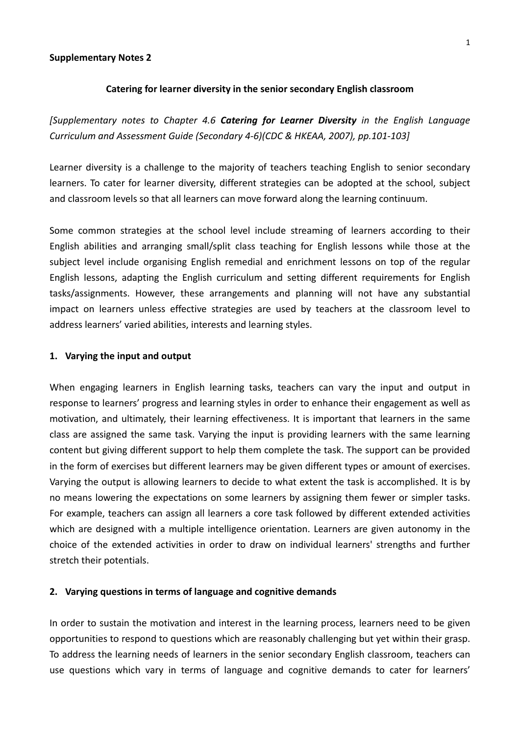#### **Supplementary Notes 2**

#### **Catering for learner diversity in the senior secondary English classroom**

*[Supplementary notes to Chapter 4.6 Catering for Learner Diversity in the English Language Curriculum and Assessment Guide (Secondary 4‐6)(CDC & HKEAA, 2007), pp.101‐103]*

Learner diversity is a challenge to the majority of teachers teaching English to senior secondary learners. To cater for learner diversity, different strategies can be adopted at the school, subject and classroom levels so that all learners can move forward along the learning continuum.

Some common strategies at the school level include streaming of learners according to their English abilities and arranging small/split class teaching for English lessons while those at the subject level include organising English remedial and enrichment lessons on top of the regular English lessons, adapting the English curriculum and setting different requirements for English tasks/assignments. However, these arrangements and planning will not have any substantial impact on learners unless effective strategies are used by teachers at the classroom level to address learners' varied abilities, interests and learning styles.

#### **1. Varying the input and output**

When engaging learners in English learning tasks, teachers can vary the input and output in response to learners' progress and learning styles in order to enhance their engagement as well as motivation, and ultimately, their learning effectiveness. It is important that learners in the same class are assigned the same task. Varying the input is providing learners with the same learning content but giving different support to help them complete the task. The support can be provided in the form of exercises but different learners may be given different types or amount of exercises. Varying the output is allowing learners to decide to what extent the task is accomplished. It is by no means lowering the expectations on some learners by assigning them fewer or simpler tasks. For example, teachers can assign all learners a core task followed by different extended activities which are designed with a multiple intelligence orientation. Learners are given autonomy in the choice of the extended activities in order to draw on individual learners' strengths and further stretch their potentials.

### **2. Varying questions in terms of language and cognitive demands**

In order to sustain the motivation and interest in the learning process, learners need to be given opportunities to respond to questions which are reasonably challenging but yet within their grasp. To address the learning needs of learners in the senior secondary English classroom, teachers can use questions which vary in terms of language and cognitive demands to cater for learners'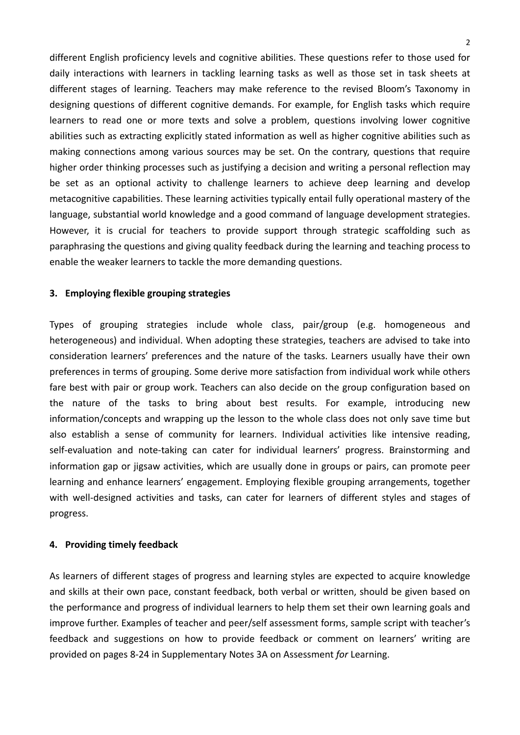different English proficiency levels and cognitive abilities. These questions refer to those used for daily interactions with learners in tackling learning tasks as well as those set in task sheets at different stages of learning. Teachers may make reference to the revised Bloom's Taxonomy in designing questions of different cognitive demands. For example, for English tasks which require learners to read one or more texts and solve a problem, questions involving lower cognitive abilities such as extracting explicitly stated information as well as higher cognitive abilities such as making connections among various sources may be set. On the contrary, questions that require higher order thinking processes such as justifying a decision and writing a personal reflection may be set as an optional activity to challenge learners to achieve deep learning and develop metacognitive capabilities. These learning activities typically entail fully operational mastery of the language, substantial world knowledge and a good command of language development strategies. However, it is crucial for teachers to provide support through strategic scaffolding such as paraphrasing the questions and giving quality feedback during the learning and teaching process to enable the weaker learners to tackle the more demanding questions.

# **3. Employing flexible grouping strategies**

Types of grouping strategies include whole class, pair/group (e.g. homogeneous and heterogeneous) and individual. When adopting these strategies, teachers are advised to take into consideration learners' preferences and the nature of the tasks. Learners usually have their own preferences in terms of grouping. Some derive more satisfaction from individual work while others fare best with pair or group work. Teachers can also decide on the group configuration based on the nature of the tasks to bring about best results. For example, introducing new information/concepts and wrapping up the lesson to the whole class does not only save time but also establish a sense of community for learners. Individual activities like intensive reading, self-evaluation and note-taking can cater for individual learners' progress. Brainstorming and information gap or jigsaw activities, which are usually done in groups or pairs, can promote peer learning and enhance learners' engagement. Employing flexible grouping arrangements, together with well-designed activities and tasks, can cater for learners of different styles and stages of progress.

# **4. Providing timely feedback**

As learners of different stages of progress and learning styles are expected to acquire knowledge and skills at their own pace, constant feedback, both verbal or written, should be given based on the performance and progress of individual learners to help them set their own learning goals and improve further. Examples of teacher and peer/self assessment forms, sample script with teacher's feedback and suggestions on how to provide feedback or comment on learners' writing are provided on pages 8‐24 in Supplementary Notes 3A on Assessment *for* Learning.